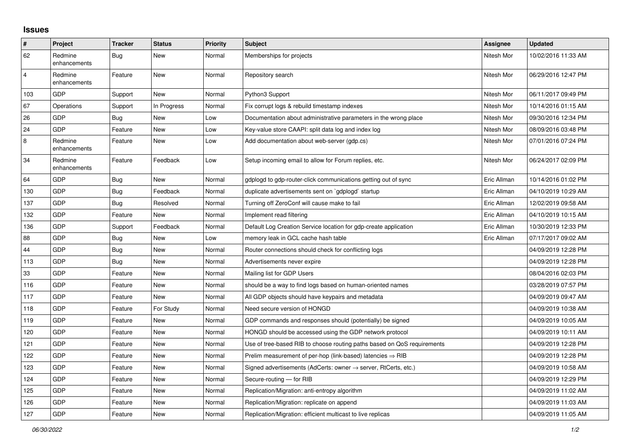## **Issues**

| $\pmb{\#}$     | Project                 | <b>Tracker</b> | <b>Status</b> | <b>Priority</b> | <b>Subject</b>                                                             | Assignee    | <b>Updated</b>      |
|----------------|-------------------------|----------------|---------------|-----------------|----------------------------------------------------------------------------|-------------|---------------------|
| 62             | Redmine<br>enhancements | Bug            | <b>New</b>    | Normal          | Memberships for projects                                                   | Nitesh Mor  | 10/02/2016 11:33 AM |
| $\overline{4}$ | Redmine<br>enhancements | Feature        | <b>New</b>    | Normal          | Repository search                                                          | Nitesh Mor  | 06/29/2016 12:47 PM |
| 103            | GDP                     | Support        | <b>New</b>    | Normal          | Python3 Support                                                            | Nitesh Mor  | 06/11/2017 09:49 PM |
| 67             | Operations              | Support        | In Progress   | Normal          | Fix corrupt logs & rebuild timestamp indexes                               | Nitesh Mor  | 10/14/2016 01:15 AM |
| 26             | GDP                     | Bug            | <b>New</b>    | Low             | Documentation about administrative parameters in the wrong place           | Nitesh Mor  | 09/30/2016 12:34 PM |
| 24             | GDP                     | Feature        | <b>New</b>    | Low             | Key-value store CAAPI: split data log and index log                        | Nitesh Mor  | 08/09/2016 03:48 PM |
| $\,8\,$        | Redmine<br>enhancements | Feature        | New           | Low             | Add documentation about web-server (gdp.cs)                                | Nitesh Mor  | 07/01/2016 07:24 PM |
| 34             | Redmine<br>enhancements | Feature        | Feedback      | Low             | Setup incoming email to allow for Forum replies, etc.                      | Nitesh Mor  | 06/24/2017 02:09 PM |
| 64             | <b>GDP</b>              | Bug            | <b>New</b>    | Normal          | gdplogd to gdp-router-click communications getting out of sync             | Eric Allman | 10/14/2016 01:02 PM |
| 130            | GDP                     | Bug            | Feedback      | Normal          | duplicate advertisements sent on `gdplogd` startup                         | Eric Allman | 04/10/2019 10:29 AM |
| 137            | GDP                     | Bug            | Resolved      | Normal          | Turning off ZeroConf will cause make to fail                               | Eric Allman | 12/02/2019 09:58 AM |
| 132            | <b>GDP</b>              | Feature        | <b>New</b>    | Normal          | Implement read filtering                                                   | Eric Allman | 04/10/2019 10:15 AM |
| 136            | GDP                     | Support        | Feedback      | Normal          | Default Log Creation Service location for gdp-create application           | Eric Allman | 10/30/2019 12:33 PM |
| 88             | <b>GDP</b>              | Bug            | New           | Low             | memory leak in GCL cache hash table                                        | Eric Allman | 07/17/2017 09:02 AM |
| 44             | <b>GDP</b>              | Bug            | <b>New</b>    | Normal          | Router connections should check for conflicting logs                       |             | 04/09/2019 12:28 PM |
| 113            | GDP                     | Bug            | <b>New</b>    | Normal          | Advertisements never expire                                                |             | 04/09/2019 12:28 PM |
| 33             | GDP                     | Feature        | <b>New</b>    | Normal          | Mailing list for GDP Users                                                 |             | 08/04/2016 02:03 PM |
| 116            | GDP                     | Feature        | <b>New</b>    | Normal          | should be a way to find logs based on human-oriented names                 |             | 03/28/2019 07:57 PM |
| 117            | <b>GDP</b>              | Feature        | New           | Normal          | All GDP objects should have keypairs and metadata                          |             | 04/09/2019 09:47 AM |
| 118            | <b>GDP</b>              | Feature        | For Study     | Normal          | Need secure version of HONGD                                               |             | 04/09/2019 10:38 AM |
| 119            | <b>GDP</b>              | Feature        | <b>New</b>    | Normal          | GDP commands and responses should (potentially) be signed                  |             | 04/09/2019 10:05 AM |
| 120            | <b>GDP</b>              | Feature        | <b>New</b>    | Normal          | HONGD should be accessed using the GDP network protocol                    |             | 04/09/2019 10:11 AM |
| 121            | GDP                     | Feature        | New           | Normal          | Use of tree-based RIB to choose routing paths based on QoS requirements    |             | 04/09/2019 12:28 PM |
| 122            | GDP                     | Feature        | <b>New</b>    | Normal          | Prelim measurement of per-hop (link-based) latencies $\Rightarrow$ RIB     |             | 04/09/2019 12:28 PM |
| 123            | <b>GDP</b>              | Feature        | <b>New</b>    | Normal          | Signed advertisements (AdCerts: owner $\rightarrow$ server, RtCerts, etc.) |             | 04/09/2019 10:58 AM |
| 124            | GDP                     | Feature        | <b>New</b>    | Normal          | Secure-routing - for RIB                                                   |             | 04/09/2019 12:29 PM |
| 125            | <b>GDP</b>              | Feature        | New           | Normal          | Replication/Migration: anti-entropy algorithm                              |             | 04/09/2019 11:02 AM |
| 126            | <b>GDP</b>              | Feature        | New           | Normal          | Replication/Migration: replicate on append                                 |             | 04/09/2019 11:03 AM |
| 127            | GDP                     | Feature        | <b>New</b>    | Normal          | Replication/Migration: efficient multicast to live replicas                |             | 04/09/2019 11:05 AM |